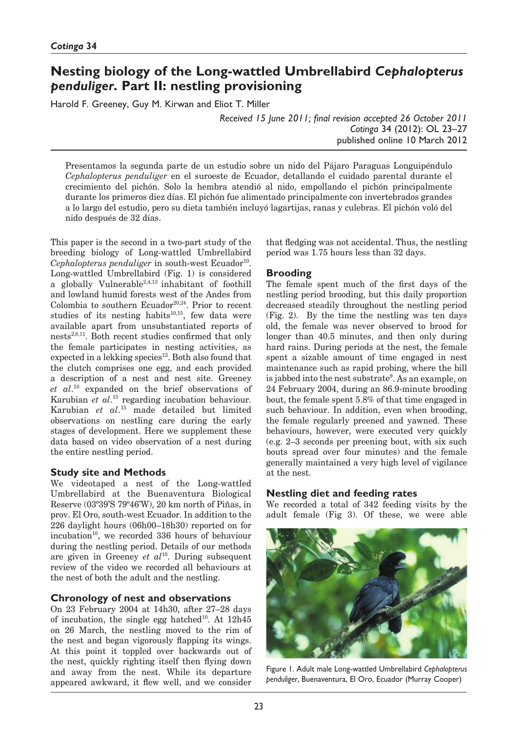# **Nesting biology of the Long-wattled Umbrellabird** *Cephalopterus penduliger***. Part II: nestling provisioning**

Harold F. Greeney, Guy M. Kirwan and Eliot T. Miller

*Received 15 June 2011; final revision accepted 26 October 2011 Cotinga* 34 (2012): OL 23–27 published online 10 March 2012

Presentamos la segunda parte de un estudio sobre un nido del Pájaro Paraguas Longuipéndulo *Cephalopterus penduliger* en el suroeste de Ecuador, detallando el cuidado parental durante el crecimiento del pichón. Solo la hembra atendió al nido, empollando el pichón principalmente durante los primeros diez días. El pichón fue alimentado principalmente con invertebrados grandes a lo largo del estudio, pero su dieta también incluyó lagartijas, ranas y culebras. El pichón voló del nido después de 32 días.

This paper is the second in a two-part study of the breeding biology of Long-wattled Umbrellabird *Cephalopterus penduliger* in south-west Ecuador<sup>10</sup>. Long-wattled Umbrellabird (Fig. 1) is considered a globally Vulnerable<sup>2,4,13</sup> inhabitant of foothill and lowland humid forests west of the Andes from Colombia to southern Ecuador<sup>20,24</sup>. Prior to recent studies of its nesting habits $10,15$ , few data were available apart from unsubstantiated reports of nests<sup>2,8,11</sup>. Both recent studies confirmed that only the female participates in nesting activities, as expected in a lekking species<sup>12</sup>. Both also found that the clutch comprises one egg, and each provided a description of a nest and nest site. Greeney *et al*. 10 expanded on the brief observations of Karubian *et al*. 15 regarding incubation behaviour. Karubian *et al*. 15 made detailed but limited observations on nestling care during the early stages of development. Here we supplement these data based on video observation of a nest during the entire nestling period.

# **Study site and Methods**

We videotaped a nest of the Long-wattled Umbrellabird at the Buenaventura Biological Reserve (03º39'S 79º46'W), 20 km north of Piñas, in prov. El Oro, south-west Ecuador. In addition to the 226 daylight hours (06h00–18h30) reported on for incubation<sup>10</sup>, we recorded 336 hours of behaviour during the nestling period. Details of our methods are given in Greeney *et al*10. During subsequent review of the video we recorded all behaviours at the nest of both the adult and the nestling.

# **Chronology of nest and observations**

On 23 February 2004 at 14h30, after 27–28 days of incubation, the single egg hatched<sup>10</sup>. At  $12h45$ on 26 March, the nestling moved to the rim of the nest and began vigorously flapping its wings. At this point it toppled over backwards out of the nest, quickly righting itself then flying down and away from the nest. While its departure appeared awkward, it flew well, and we consider

that fledging was not accidental. Thus, the nestling period was 1.75 hours less than 32 days.

# **Brooding**

The female spent much of the first days of the nestling period brooding, but this daily proportion decreased steadily throughout the nestling period (Fig. 2). By the time the nestling was ten days old, the female was never observed to brood for longer than 40.5 minutes, and then only during hard rains. During periods at the nest, the female spent a sizable amount of time engaged in nest maintenance such as rapid probing, where the bill is jabbed into the nest substrate<sup>9</sup>. As an example, on 24 February 2004, during an 86.9-minute brooding bout, the female spent 5.8% of that time engaged in such behaviour. In addition, even when brooding, the female regularly preened and yawned. These behaviours, however, were executed very quickly (e.g. 2–3 seconds per preening bout, with six such bouts spread over four minutes) and the female generally maintained a very high level of vigilance at the nest.

## **Nestling diet and feeding rates**

We recorded a total of 342 feeding visits by the adult female (Fig 3). Of these, we were able



Figure 1. Adult male Long-wattled Umbrellabird *Cephalopterus penduliger*, Buenaventura, El Oro, Ecuador (Murray Cooper)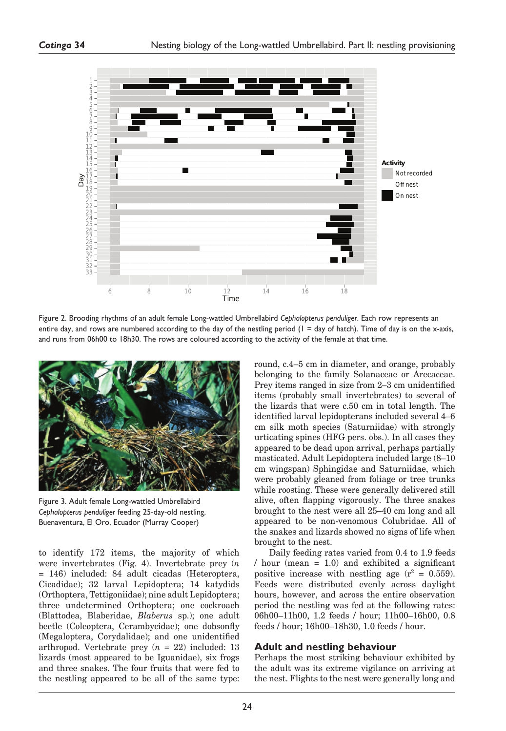

Figure 2. Brooding rhythms of an adult female Long-wattled Umbrellabird *Cephalopterus penduliger*. Each row represents an entire day, and rows are numbered according to the day of the nestling period  $(1 = day of hatch)$ . Time of day is on the x-axis, and runs from 06h00 to 18h30. The rows are coloured according to the activity of the female at that time.



Figure 3. Adult female Long-wattled Umbrellabird *Cephalopterus penduliger* feeding 25-day-old nestling, Buenaventura, El Oro, Ecuador (Murray Cooper)

to identify 172 items, the majority of which were invertebrates (Fig. 4). Invertebrate prey (*n* = 146) included: 84 adult cicadas (Heteroptera, Cicadidae); 32 larval Lepidoptera; 14 katydids (Orthoptera, Tettigoniidae); nine adult Lepidoptera; three undetermined Orthoptera; one cockroach (Blattodea, Blaberidae, *Blaberus* sp.); one adult beetle (Coleoptera, Cerambycidae); one dobsonfly (Megaloptera, Corydalidae); and one unidentified arthropod. Vertebrate prey (*n* = 22) included: 13 lizards (most appeared to be Iguanidae), six frogs and three snakes. The four fruits that were fed to the nestling appeared to be all of the same type:

round, c.4–5 cm in diameter, and orange, probably belonging to the family Solanaceae or Arecaceae. Prey items ranged in size from 2–3 cm unidentified items (probably small invertebrates) to several of the lizards that were c.50 cm in total length. The identified larval lepidopterans included several 4–6 cm silk moth species (Saturniidae) with strongly urticating spines (HFG pers. obs.). In all cases they appeared to be dead upon arrival, perhaps partially masticated. Adult Lepidoptera included large (8–10 cm wingspan) Sphingidae and Saturniidae, which were probably gleaned from foliage or tree trunks while roosting. These were generally delivered still alive, often flapping vigorously. The three snakes brought to the nest were all 25–40 cm long and all appeared to be non-venomous Colubridae. All of the snakes and lizards showed no signs of life when brought to the nest.

Daily feeding rates varied from 0.4 to 1.9 feeds  $/$  hour (mean = 1.0) and exhibited a significant positive increase with nestling age  $(r^2 = 0.559)$ . Feeds were distributed evenly across daylight hours, however, and across the entire observation period the nestling was fed at the following rates: 06h00–11h00, 1.2 feeds / hour; 11h00–16h00, 0.8 feeds / hour; 16h00–18h30, 1.0 feeds / hour.

## **Adult and nestling behaviour**

Perhaps the most striking behaviour exhibited by the adult was its extreme vigilance on arriving at the nest. Flights to the nest were generally long and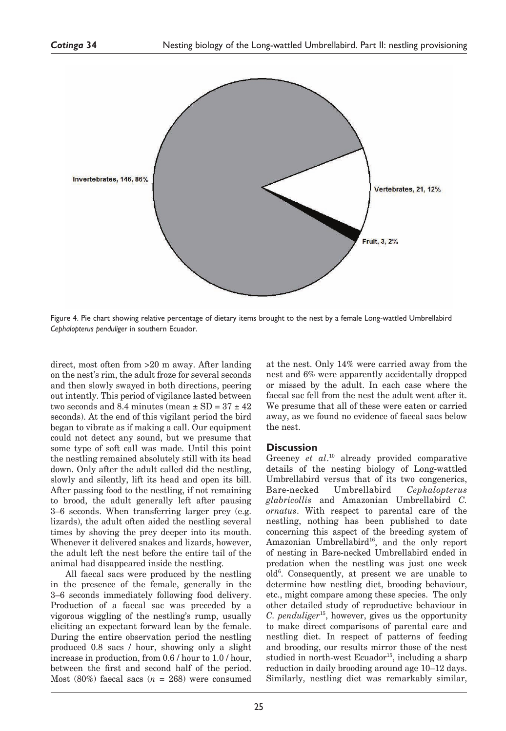

Figure 4. Pie chart showing relative percentage of dietary items brought to the nest by a female Long-wattled Umbrellabird *Cephalopterus penduliger* in southern Ecuador.

direct, most often from >20 m away. After landing on the nest's rim, the adult froze for several seconds and then slowly swayed in both directions, peering out intently. This period of vigilance lasted between two seconds and 8.4 minutes (mean  $\pm$  SD = 37  $\pm$  42 seconds). At the end of this vigilant period the bird began to vibrate as if making a call. Our equipment could not detect any sound, but we presume that some type of soft call was made. Until this point the nestling remained absolutely still with its head down. Only after the adult called did the nestling, slowly and silently, lift its head and open its bill. After passing food to the nestling, if not remaining to brood, the adult generally left after pausing 3–6 seconds. When transferring larger prey (e.g. lizards), the adult often aided the nestling several times by shoving the prey deeper into its mouth. Whenever it delivered snakes and lizards, however, the adult left the nest before the entire tail of the animal had disappeared inside the nestling.

All faecal sacs were produced by the nestling in the presence of the female, generally in the 3–6 seconds immediately following food delivery. Production of a faecal sac was preceded by a vigorous wiggling of the nestling's rump, usually eliciting an expectant forward lean by the female. During the entire observation period the nestling produced 0.8 sacs / hour, showing only a slight increase in production, from 0.6 / hour to 1.0 / hour, between the first and second half of the period. Most  $(80\%)$  faecal sacs  $(n = 268)$  were consumed

at the nest. Only 14% were carried away from the nest and 6% were apparently accidentally dropped or missed by the adult. In each case where the faecal sac fell from the nest the adult went after it. We presume that all of these were eaten or carried away, as we found no evidence of faecal sacs below the nest.

#### **Discussion**

Greeney *et al*. 10 already provided comparative details of the nesting biology of Long-wattled Umbrellabird versus that of its two congenerics, Bare-necked Umbrellabird *Cephalopterus glabricollis* and Amazonian Umbrellabird *C. ornatus*. With respect to parental care of the nestling, nothing has been published to date concerning this aspect of the breeding system of Amazonian Umbrellabird<sup>16</sup>, and the only report of nesting in Bare-necked Umbrellabird ended in predation when the nestling was just one week old6 . Consequently, at present we are unable to determine how nestling diet, brooding behaviour, etc., might compare among these species. The only other detailed study of reproductive behaviour in *C. penduliger*15, however, gives us the opportunity to make direct comparisons of parental care and nestling diet. In respect of patterns of feeding and brooding, our results mirror those of the nest studied in north-west Ecuador<sup>15</sup>, including a sharp reduction in daily brooding around age 10–12 days. Similarly, nestling diet was remarkably similar,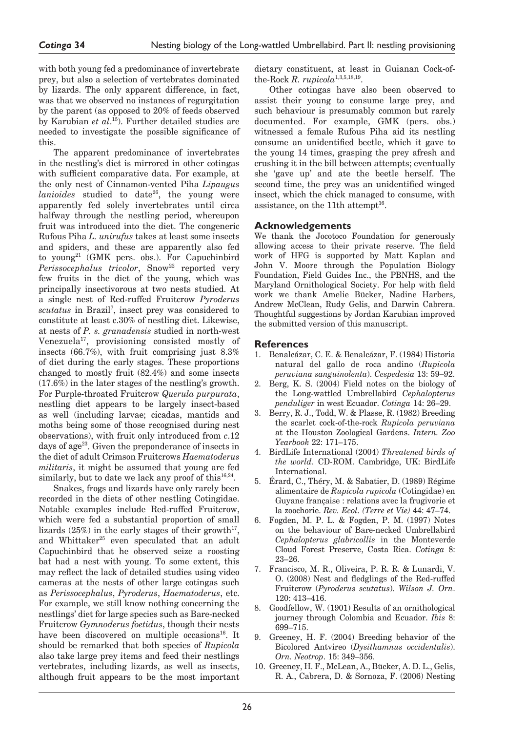with both young fed a predominance of invertebrate prey, but also a selection of vertebrates dominated by lizards. The only apparent difference, in fact, was that we observed no instances of regurgitation by the parent (as opposed to 20% of feeds observed by Karubian *et al*. 15). Further detailed studies are needed to investigate the possible significance of this.

The apparent predominance of invertebrates in the nestling's diet is mirrored in other cotingas with sufficient comparative data. For example, at the only nest of Cinnamon-vented Piha *Lipaugus lanioides* studied to date<sup>26</sup>, the young were apparently fed solely invertebrates until circa halfway through the nestling period, whereupon fruit was introduced into the diet. The congeneric Rufous Piha *L. unirufus* takes at least some insects and spiders, and these are apparently also fed to young<sup>21</sup> (GMK pers. obs.). For Capuchinbird Perissocephalus tricolor, Snow<sup>22</sup> reported very few fruits in the diet of the young, which was principally insectivorous at two nests studied. At a single nest of Red-ruffed Fruitcrow *Pyroderus*  scutatus in Brazil<sup>7</sup>, insect prey was considered to constitute at least c.30% of nestling diet. Likewise, at nests of *P. s. granadensis* studied in north-west Venezuela17, provisioning consisted mostly of insects (66.7%), with fruit comprising just 8.3% of diet during the early stages. These proportions changed to mostly fruit (82.4%) and some insects (17.6%) in the later stages of the nestling's growth. For Purple-throated Fruitcrow *Querula purpurata*, nestling diet appears to be largely insect-based as well (including larvae; cicadas, mantids and moths being some of those recognised during nest observations), with fruit only introduced from *c*.12 days of age<sup>23</sup>. Given the preponderance of insects in the diet of adult Crimson Fruitcrows *Haematoderus militaris*, it might be assumed that young are fed similarly, but to date we lack any proof of this  $16,24$ .

Snakes, frogs and lizards have only rarely been recorded in the diets of other nestling Cotingidae. Notable examples include Red-ruffed Fruitcrow, which were fed a substantial proportion of small lizards  $(25%)$  in the early stages of their growth<sup>17</sup>. and Whittaker<sup>25</sup> even speculated that an adult Capuchinbird that he observed seize a roosting bat had a nest with young. To some extent, this may reflect the lack of detailed studies using video cameras at the nests of other large cotingas such as *Perissocephalus*, *Pyroderus*, *Haematoderus*, etc. For example, we still know nothing concerning the nestlings' diet for large species such as Bare-necked Fruitcrow *Gymnoderus foetidus*, though their nests have been discovered on multiple occasions<sup>16</sup>. It should be remarked that both species of *Rupicola* also take large prey items and feed their nestlings vertebrates, including lizards, as well as insects, although fruit appears to be the most important

dietary constituent, at least in Guianan Cock-ofthe-Rock *R. rupicola*1,3,5,18,19.

Other cotingas have also been observed to assist their young to consume large prey, and such behaviour is presumably common but rarely documented. For example, GMK (pers. obs.) witnessed a female Rufous Piha aid its nestling consume an unidentified beetle, which it gave to the young 14 times, grasping the prey afresh and crushing it in the bill between attempts; eventually she 'gave up' and ate the beetle herself. The second time, the prey was an unidentified winged insect, which the chick managed to consume, with assistance, on the 11<sup>th</sup> attempt<sup>16</sup>.

## **Acknowledgements**

We thank the Jocotoco Foundation for generously allowing access to their private reserve. The field work of HFG is supported by Matt Kaplan and John V. Moore through the Population Biology Foundation, Field Guides Inc., the PBNHS, and the Maryland Ornithological Society. For help with field work we thank Amelie Bücker, Nadine Harbers, Andrew McClean, Rudy Gelis, and Darwin Cabrera. Thoughtful suggestions by Jordan Karubian improved the submitted version of this manuscript.

## **References**

- 1. Benalcázar, C. E. & Benalcázar, F. (1984) Historia natural del gallo de roca andino (*Rupicola peruviana sanguinolenta*). *Cespedesia* 13: 59–92.
- 2. Berg, K. S. (2004) Field notes on the biology of the Long-wattled Umbrellabird *Cephalopterus penduliger* in west Ecuador. *Cotinga* 14: 26–29.
- 3. Berry, R. J., Todd, W. & Plasse, R. (1982) Breeding the scarlet cock-of-the-rock *Rupicola peruviana* at the Houston Zoological Gardens. *Intern. Zoo Yearbook* 22: 171–175.
- 4. BirdLife International (2004) *Threatened birds of the world*. CD-ROM. Cambridge, UK: BirdLife International.
- 5. Érard, C., Théry, M. & Sabatier, D. (1989) Régime alimentaire de *Rupicola rupicola* (Cotingidae) en Guyane française : relations avec la frugivorie et la zoochorie. *Rev. Ecol. (Terre et Vie)* 44: 47–74.
- 6. Fogden, M. P. L. & Fogden, P. M. (1997) Notes on the behaviour of Bare-necked Umbrellabird *Cephalopterus glabricollis* in the Monteverde Cloud Forest Preserve, Costa Rica. *Cotinga* 8: 23–26.
- 7. Francisco, M. R., Oliveira, P. R. R. & Lunardi, V. O. (2008) Nest and fledglings of the Red-ruffed Fruitcrow (*Pyroderus scutatus*). *Wilson J. Orn*. 120: 413–416.
- 8. Goodfellow, W. (1901) Results of an ornithological journey through Colombia and Ecuador. *Ibis* 8: 699–715.
- 9. Greeney, H. F. (2004) Breeding behavior of the Bicolored Antvireo (*Dysithamnus occidentalis*). *Orn. Neotrop*. 15: 349–356.
- 10. Greeney, H. F., McLean, A., Bücker, A. D. L., Gelis, R. A., Cabrera, D. & Sornoza, F. (2006) Nesting